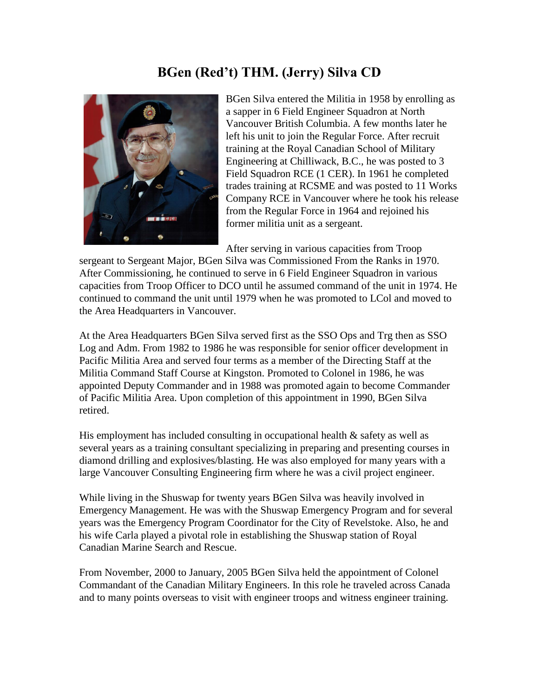## **BGen (Red't) THM. (Jerry) Silva CD**



BGen Silva entered the Militia in 1958 by enrolling as a sapper in 6 Field Engineer Squadron at North Vancouver British Columbia. A few months later he left his unit to join the Regular Force. After recruit training at the Royal Canadian School of Military Engineering at Chilliwack, B.C., he was posted to 3 Field Squadron RCE (1 CER). In 1961 he completed trades training at RCSME and was posted to 11 Works Company RCE in Vancouver where he took his release from the Regular Force in 1964 and rejoined his former militia unit as a sergeant.

After serving in various capacities from Troop

sergeant to Sergeant Major, BGen Silva was Commissioned From the Ranks in 1970. After Commissioning, he continued to serve in 6 Field Engineer Squadron in various capacities from Troop Officer to DCO until he assumed command of the unit in 1974. He continued to command the unit until 1979 when he was promoted to LCol and moved to the Area Headquarters in Vancouver.

At the Area Headquarters BGen Silva served first as the SSO Ops and Trg then as SSO Log and Adm. From 1982 to 1986 he was responsible for senior officer development in Pacific Militia Area and served four terms as a member of the Directing Staff at the Militia Command Staff Course at Kingston. Promoted to Colonel in 1986, he was appointed Deputy Commander and in 1988 was promoted again to become Commander of Pacific Militia Area. Upon completion of this appointment in 1990, BGen Silva retired.

His employment has included consulting in occupational health  $\&$  safety as well as several years as a training consultant specializing in preparing and presenting courses in diamond drilling and explosives/blasting. He was also employed for many years with a large Vancouver Consulting Engineering firm where he was a civil project engineer.

While living in the Shuswap for twenty years BGen Silva was heavily involved in Emergency Management. He was with the Shuswap Emergency Program and for several years was the Emergency Program Coordinator for the City of Revelstoke. Also, he and his wife Carla played a pivotal role in establishing the Shuswap station of Royal Canadian Marine Search and Rescue.

From November, 2000 to January, 2005 BGen Silva held the appointment of Colonel Commandant of the Canadian Military Engineers. In this role he traveled across Canada and to many points overseas to visit with engineer troops and witness engineer training.